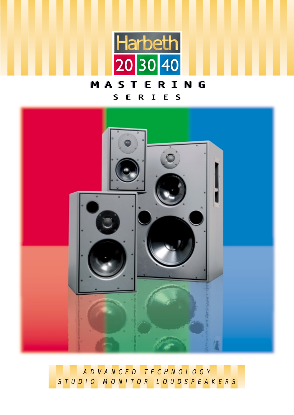

# MASTERING SERIES



ADVANCED TECHNOLOGY STUDIO MONITOR LOUDSPEAKERS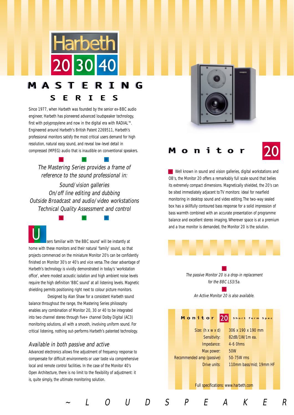

### MAS N G  $\mathsf{S}$ R I  $\mathsf{S}$ E E

Since 1977, when Harbeth was founded by the senior ex-BBC audio engineer, Harbeth has pioneered advanced loudspeaker technology, first with polypropylene and now in the digital era with RADIAL<sup>TM</sup>. Engineered around Harbeth's British Patent 2269511, Harbeth's professional monitors satisfy the most critical users demand for high resolution, natural easy sound, and reveal low-level detail in compressed (MPEG) audio that is inaudible on conventional speakers.

The Mastering Series provides a frame of reference to the sound professional in:

Sound/vision galleries On/off line editing and dubbing Outside Broadcast and audio/video workstations Technical Quality Assessment and control

sers familiar with 'the BBC sound' will be instantly at home with these monitors and their natural 'family' sound, so that projects commenced on the miniature Monitor 20's can be confidently finished on Monitor 30's or 40's and vice versa.The clear advantage of Harbeth's technology is vividly demonstrated in today's 'workstation office', where modest acoustic isolation and high ambient noise levels require the high definition 'BBC sound' at all listening levels. Magnetic shielding permits positioning right next to colour picture monitors. U

Designed by Alan Shaw for a consistent Harbeth sound balance throughout the range, the Mastering Series philosophy enables any combination of Monitor 20, 30 or 40 to be integrated into two channel stereo through five+ channel Dolby Digital (AC3) monitoring solutions, all with a smooth, involving uniform sound. For critical listening, nothing out-performs Harbeth's patented technology.

## Available in both passive and active

Advanced electronics allows fine adjustment of frequency response to compensate for difficult environments or user taste via comprehensive local and remote control facilities. In the case of the Monitor 40's Open Architecture, there is no limit to the flexibility of adjustment: it is, quite simply, the ultimate monitoring solution.





Well known in sound and vision galleries, digital workstations and OB's, the Monitor 20 offers a remarkably full scale sound that belies its extremely compact dimensions. Magnetically shielded, the 20's can be sited immediately adjacent to TV monitors: ideal for nearfield monitoring in desktop sound and video editing.The two-way sealed box has a skillfully contoured bass response for a solid impression of bass warmth combined with an accurate presentation of programme balance and excellent stereo imaging. Wherever space is at a premium and a true monitor is demanded, the Monitor 20 is the solution.

> The passive Monitor 20 is a drop-in replacement for the BBC LS3/5a.

> > An Active Monitor 20 is also available.

|  |  | Monitor                       |              |                                             | 20 |                    | Short form Spec |  |                         |  |
|--|--|-------------------------------|--------------|---------------------------------------------|----|--------------------|-----------------|--|-------------------------|--|
|  |  | Size: $(h \times w \times d)$ |              |                                             |    | 306 x 190 x 190 mm |                 |  |                         |  |
|  |  |                               | Sensitivity: |                                             |    | 82dB/1W/1m ea.     |                 |  |                         |  |
|  |  |                               | Impedance:   |                                             |    | $4-6$ Ohms         |                 |  |                         |  |
|  |  |                               | Max power:   |                                             |    | 50W                |                 |  |                         |  |
|  |  | Recommended amp (passive)     |              |                                             |    | 50-75W rms         |                 |  |                         |  |
|  |  |                               | Drive units: |                                             |    |                    |                 |  | 110mm bass/mid; 19mm HF |  |
|  |  |                               |              |                                             |    |                    |                 |  |                         |  |
|  |  |                               |              |                                             |    |                    |                 |  |                         |  |
|  |  |                               |              | <b>Full specifications: www.harbeth.com</b> |    |                    |                 |  |                         |  |

~LOUDSPEAKER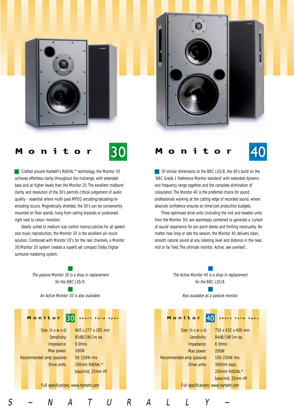





Crafted around Harbeth's RADIAL™ technology, the Monitor 30 achieves effortless clarity throughout the midrange, with extended bass and at higher levels than the Monitor 20.The excellent midband clarity and resolution of the 30's permits critical judgement of audio quality - essential where multi-pass MPEG encoding/decoding/reencoding occurs. Magnetically shielded, the 30's can be conveniently mounted on floor stands, hung from ceiling brackets or positioned right next to colour monitors.

Ideally suited to medium size control rooms/cubicles for all speech and music reproduction, the Monitor 30 is the excellent all-round solution. Combined with Monitor 20's for the rear channels, a Monitor 30/Monitor 20 system creates a superb yet compact Dolby Digital surround mastering system.



## t

Of similar dimensions to the BBC LS5/8, the 40's build on the 'BBC Grade 1 Reference Monitor standard' with extended dynamic and frequency range together and the complete elimination of colouration.The Monitor 40 is the preferred choice for sound professionals working at the cutting edge of recorded sound, where

Three optimised drive units (including the mid and tweeter units from the Monitor 30) are seamlessly combined to generate a 'curtain of sound' experience for pin-point stereo and thrilling neutruality. No matter how long or late the session, the Monitor 40 delivers clean, smooth natural sound at any listening level and distance in the near, mid or far field. The ultimate monitor. Active, see overleaf...

absolute confidence ensures on time/cost production budgets.